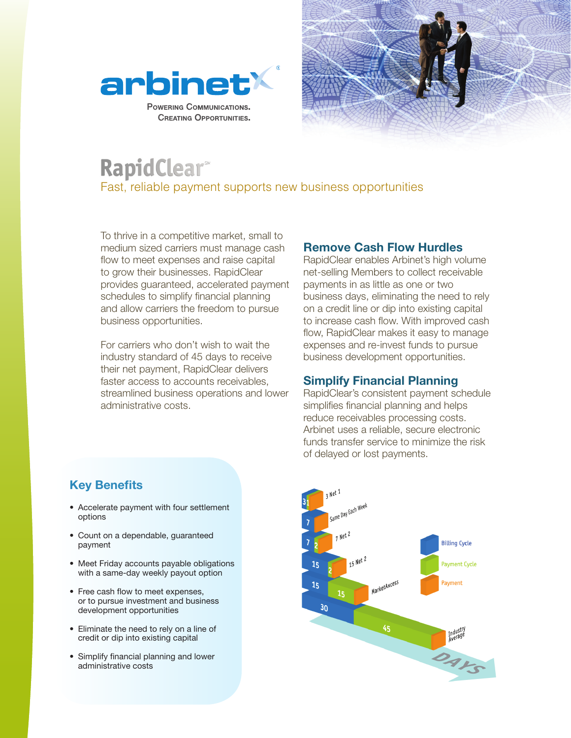



# **RapidClear**® Fast, reliable payment supports new business opportunities

To thrive in a competitive market, small to medium sized carriers must manage cash flow to meet expenses and raise capital to grow their businesses. RapidClear provides guaranteed, accelerated payment schedules to simplify financial planning and allow carriers the freedom to pursue business opportunities.

For carriers who don't wish to wait the industry standard of 45 days to receive their net payment, RapidClear delivers faster access to accounts receivables, streamlined business operations and lower administrative costs.

#### **Remove Cash Flow Hurdles**

RapidClear enables Arbinet's high volume net-selling Members to collect receivable payments in as little as one or two business days, eliminating the need to rely on a credit line or dip into existing capital to increase cash flow. With improved cash flow, RapidClear makes it easy to manage expenses and re-invest funds to pursue business development opportunities.

### **Simplify Financial Planning**

RapidClear's consistent payment schedule simplifies financial planning and helps reduce receivables processing costs. Arbinet uses a reliable, secure electronic funds transfer service to minimize the risk of delayed or lost payments.



## **Key Benefits**

- Accelerate payment with four settlement options
- Count on a dependable, guaranteed payment
- Meet Friday accounts payable obligations with a same-day weekly payout option
- Free cash flow to meet expenses, or to pursue investment and business development opportunities
- Eliminate the need to rely on a line of credit or dip into existing capital
- Simplify financial planning and lower administrative costs